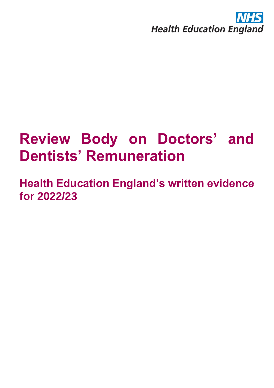

# **Review Body on Doctors' and Dentists' Remuneration**

**Health Education England's written evidence for 2022/23**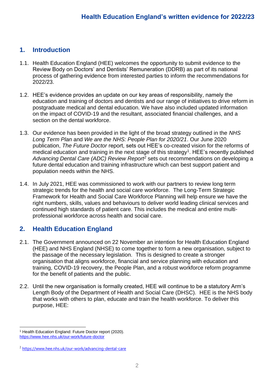### **1. Introduction**

- 1.1. Health Education England (HEE) welcomes the opportunity to submit evidence to the Review Body on Doctors' and Dentists' Remuneration (DDRB) as part of its national process of gathering evidence from interested parties to inform the recommendations for 2022/23.
- 1.2. HEE's evidence provides an update on our key areas of responsibility, namely the education and training of doctors and dentists and our range of initiatives to drive reform in postgraduate medical and dental education. We have also included updated information on the impact of COVID-19 and the resultant, associated financial challenges, and a section on the dental workforce.
- 1.3. Our evidence has been provided in the light of the broad strategy outlined in the *NHS Long Term Plan* and *We are the NHS: People Plan for 2020/21*. Our June 2020 publication, *The Future Doctor* report, sets out HEE's co-created vision for the reforms of medical education and training in the next stage of this strategy<sup>1</sup>. HEE's recently published *Advancing Dental Care (ADC) Review Report<sup>2</sup>* sets out recommendations on developing a future dental education and training infrastructure which can best support patient and population needs within the NHS.
- 1.4. In July 2021, HEE was commissioned to work with our partners to review long term strategic trends for the health and social care workforce. The Long-Term Strategic Framework for Health and Social Care Workforce Planning will help ensure we have the right numbers, skills, values and behaviours to deliver world leading clinical services and continued high standards of patient care. This includes the medical and entire multiprofessional workforce across health and social care.

### **2. Health Education England**

- 2.1. The Government announced on 22 November an intention for Health Education England (HEE) and NHS England (NHSE) to come together to form a new organisation, subject to the passage of the necessary legislation. This is designed to create a stronger organisation that aligns workforce, financial and service planning with education and training, COVID-19 recovery, the People Plan, and a robust workforce reform programme for the benefit of patients and the public.
- 2.2. Until the new organisation is formally created, HEE will continue to be a statutory Arm's Length Body of the Department of Health and Social Care (DHSC). HEE is the NHS body that works with others to plan, educate and train the health workforce. To deliver this purpose, HEE:

<sup>1</sup> Health Education England: Future Doctor report (2020). <https://www.hee.nhs.uk/our-work/future-doctor>

<sup>2</sup> <https://www.hee.nhs.uk/our-work/advancing-dental-care>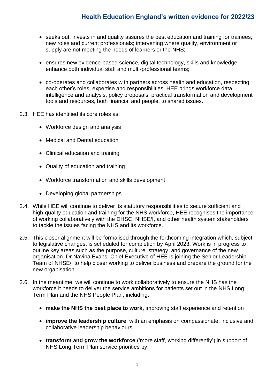- seeks out, invests in and quality assures the best education and training for trainees, new roles and current professionals; intervening where quality, environment or supply are not meeting the needs of learners or the NHS;
- ensures new evidence-based science, digital technology, skills and knowledge enhance both individual staff and multi-professional teams;
- co-operates and collaborates with partners across health and education, respecting each other's roles, expertise and responsibilities. HEE brings workforce data, intelligence and analysis, policy proposals, practical transformation and development tools and resources, both financial and people, to shared issues.
- 2.3. HEE has identified its core roles as:
	- Workforce design and analysis
	- Medical and Dental education
	- Clinical education and training
	- Quality of education and training
	- Workforce transformation and skills development
	- Developing global partnerships
- 2.4. While HEE will continue to deliver its statutory responsibilities to secure sufficient and high-quality education and training for the NHS workforce, HEE recognises the importance of working collaboratively with the DHSC, NHSE/I, and other health system stakeholders to tackle the issues facing the NHS and its workforce.
- 2.5. This closer alignment will be formalised through the forthcoming integration which, subject to legislative changes, is scheduled for completion by April 2023. Work is in progress to outline key areas such as the purpose, culture, strategy, and governance of the new organisation. Dr Navina Evans, Chief Executive of HEE is joining the Senior Leadership Team of NHSE/I to help closer working to deliver business and prepare the ground for the new organisation.
- 2.6. In the meantime, we will continue to work collaboratively to ensure the NHS has the workforce it needs to deliver the service ambitions for patients set out in the NHS Long Term Plan and the NHS People Plan, including:
	- **make the NHS the best place to work,** improving staff experience and retention
	- **improve the leadership culture**, with an emphasis on compassionate, inclusive and collaborative leadership behaviours
	- **transform and grow the workforce** ('more staff, working differently') in support of NHS Long Term Plan service priorities by: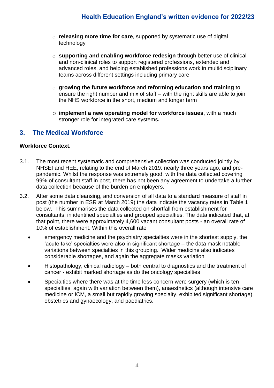- o **releasing more time for care**, supported by systematic use of digital technology
- o **supporting and enabling workforce redesign** through better use of clinical and non-clinical roles to support registered professions, extended and advanced roles, and helping established professions work in multidisciplinary teams across different settings including primary care
- o **growing the future workforce** and **reforming education and training** to ensure the right number and mix of staff – with the right skills are able to join the NHS workforce in the short, medium and longer term
- o **implement a new operating model for workforce issues,** with a much stronger role for integrated care systems**.**

### **3. The Medical Workforce**

#### **Workforce Context.**

- 3.1. The most recent systematic and comprehensive collection was conducted jointly by NHSEI and HEE, relating to the end of March 2019: nearly three years ago, and prepandemic. Whilst the response was extremely good, with the data collected covering 99% of consultant staff in post, there has not been any agreement to undertake a further data collection because of the burden on employers.
- 3.2. After some data cleansing, and conversion of all data to a standard measure of staff in post (the number in ESR at March 2019) the data indicate the vacancy rates in Table 1 below. This summarises the data collected on shortfall from establishment for consultants, in identified specialties and grouped specialties. The data indicated that, at that point, there were approximately 4,600 vacant consultant posts - an overall rate of 10% of establishment. Within this overall rate
	- emergency medicine and the psychiatry specialties were in the shortest supply, the 'acute take' specialties were also in significant shortage – the data mask notable variations between specialties in this grouping. Wider medicine also indicates considerable shortages, and again the aggregate masks variation
	- Histopathology, clinical radiology both central to diagnostics and the treatment of cancer - exhibit marked shortage as do the oncology specialties
	- Specialties where there was at the time less concern were surgery (which is ten specialties, again with variation between them), anaesthetics (although intensive care medicine or ICM, a small but rapidly growing specialty, exhibited significant shortage), obstetrics and gynaecology, and paediatrics.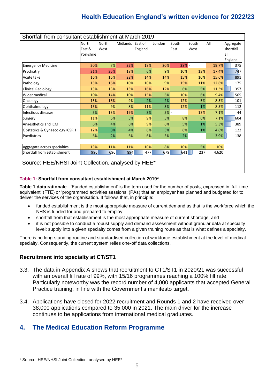| Shortfall from consultant establishment at March 2019 |           |              |                 |         |           |       |       |       |           |
|-------------------------------------------------------|-----------|--------------|-----------------|---------|-----------|-------|-------|-------|-----------|
|                                                       | North     | <b>North</b> | <b>Midlands</b> | East of | London    | South | South | All   | Aggregate |
|                                                       | East &    | West         |                 | England |           | East  | West  |       | shortfall |
|                                                       | Yorkshire |              |                 |         |           |       |       |       | lall      |
|                                                       |           |              |                 |         |           |       |       |       | England   |
| <b>Emergency Medicine</b>                             | 20%       | 7%           | 32%             | 18%     | 20%       | 38%   |       | 19.7% | 375       |
| Psychiatry                                            | 31%       | 35%          | 18%             | 6%      | 9%        | 10%   | 13%   | 17.4% | 747       |
| Acute take                                            | 16%       | 16%          | 22%             | 14%     | 14%       | 15%   | 10%   | 15.6% | 891       |
| Pathology                                             | 15%       | 16%          | 10%             | 10%     | 9%        | 15%   | 11%   | 12.6% | 175       |
| <b>Clinical Radiology</b>                             | 13%       | 13%          | 13%             | 16%     | 12%       | 6%    | 5%    | 11.3% | 357       |
| Wider medical                                         | 10%       | 14%          | 10%             | 15%     | 6%        | 10%   | 6%    | 9.4%  | 565       |
| Oncology                                              | 15%       | 16%          | 9%              | 2%      | 2%        | 12%   | 5%    | 8.5%  | 101       |
| Ophthalmology                                         | 15%       | 9%           | 8%              | 11%     | 3%        | 12%   | 1%    | 8.5%  | 112       |
| Infectious diseases                                   | 5%        | 13%          | 19%             | 3%      | 5%        |       | 13%   | 7.1%  | 44        |
| Surgery                                               | 11%       | 6%           | 5%              | 9%      | 5%        | 8%    | 6%    | 7.1%  | 604       |
| Anaesthetics and ICM                                  | 6%        | 4%           | 6%              | 9%      | 6%        | 5%    | 1%    | 5.3%  | 389       |
| Obstetrics & Gynaecology+CSRH                         | 12%       | 0%           | 4%              | 6%      | 3%        | 6%    | 1%    | 4.6%  | 122       |
| Paediatrics                                           | 6%        | 2%           | 6%              | 6%      | <b>5%</b> | $2\%$ |       | 3.9%  | 138       |
|                                                       |           |              |                 |         |           |       |       |       |           |
| Aggregate across specialties                          | 13%       | 11%          | 11%             | 10%     | 8%        | 10%   | 5%    | 10%   |           |
| Shortfall from establishment                          | 996       | 696          | 894             | 477     | 679       | 641   | 237   | 4,620 |           |
|                                                       |           |              |                 |         |           |       |       |       |           |
| Source: HEE/NHSI Joint Collection, analysed by HEE*   |           |              |                 |         |           |       |       |       |           |

#### **Table 1: Shortfall from consultant establishment at March 2019<sup>3</sup>**

**Table 1 data rationale** - 'Funded establishment' is the term used for the number of posts, expressed in 'full-time equivalent' (FTE) or 'programmed activities sessions' (PAs) that an employer has planned and budgeted for to deliver the services of the organisation. It follows that, in principle:

- funded establishment is the most appropriate measure of current demand as that is the workforce which the NHS is funded for and prepared to employ;
- shortfall from that establishment is the most appropriate measure of current shortage; and
- it is not possible to conduct a robust supply and demand assessment without granular data at specialty level: supply into a given specialty comes from a given training route as that is what defines a specialty.

There is no long-standing routine and standardised collection of workforce establishment at the level of medical specialty. Consequently, the current system relies one-off data collections.

#### **Recruitment into specialty at CT/ST1**

- 3.3. The data in Appendix A shows that recruitment to CT1/ST1 in 2020/21 was successful with an overall fill rate of 99%, with 15/16 programmes reaching a 100% fill rate. Particularly noteworthy was the record number of 4,000 applicants that accepted General Practice training, in line with the Government's manifesto target.
- 3.4. Applications have closed for 2022 recruitment and Rounds 1 and 2 have received over 38,000 applications compared to 35,000 in 2021. The main driver for the increase continues to be applications from international medical graduates.

### **4. The Medical Education Reform Programme**

<sup>3</sup> Source: HEE/NHSI Joint Collection, analysed by HEE\*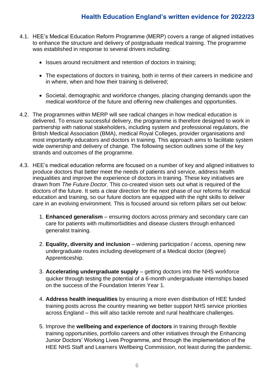- 4.1. HEE's Medical Education Reform Programme (MERP) covers a range of aligned initiatives to enhance the structure and delivery of postgraduate medical training. The programme was established in response to several drivers including:
	- Issues around recruitment and retention of doctors in training;
	- The expectations of doctors in training, both in terms of their careers in medicine and in where, when and how their training is delivered;
	- Societal, demographic and workforce changes, placing changing demands upon the medical workforce of the future and offering new challenges and opportunities.
- 4.2. The programmes within MERP will see radical changes in how medical education is delivered. To ensure successful delivery, the programme is therefore designed to work in partnership with national stakeholders, including system and professional regulators, the British Medical Association (BMA), medical Royal Colleges, provider organisations and most importantly educators and doctors in training. This approach aims to facilitate system wide ownership and delivery of change. The following section outlines some of the key strands and outcomes of the programme.
- 4.3. HEE's medical education reforms are focused on a number of key and aligned initiatives to produce doctors that better meet the needs of patients and service, address health inequalities and improve the experience of doctors in training. These key initiatives are drawn from *The Future Doctor*. This co-created vision sets out what is required of the doctors of the future. It sets a clear direction for the next phase of our reforms for medical education and training, so our future doctors are equipped with the right skills to deliver care in an evolving environment. This is focused around six reform pillars set out below:
	- 1. **Enhanced generalism**  ensuring doctors across primary and secondary care can care for patients with multimorbidities and disease clusters through enhanced generalist training.
	- 2. **Equality, diversity and inclusion** widening participation / access, opening new undergraduate routes including development of a Medical doctor (degree) Apprenticeship.
	- 3. **Accelerating undergraduate supply**  getting doctors into the NHS workforce quicker through testing the potential of a 6-month undergraduate internships based on the success of the Foundation Interim Year 1.
	- 4. **Address health inequalities** by ensuring a more even distribution of HEE funded training posts across the country meaning we better support NHS service priorities across England – this will also tackle remote and rural healthcare challenges.
	- 5. Improve the **wellbeing and experience of doctors** in training through flexible training opportunities, portfolio careers and other initiatives through the Enhancing Junior Doctors' Working Lives Programme, and through the implementation of the HEE NHS Staff and Learners Wellbeing Commission, not least during the pandemic.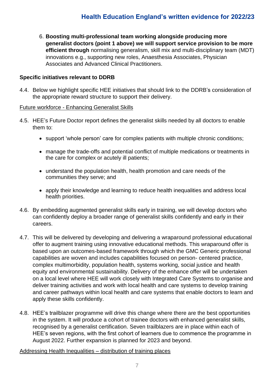6. **Boosting multi-professional team working alongside producing more generalist doctors (point 1 above) we will support service provision to be more efficient through** normalising generalism, skill mix and multi-disciplinary team (MDT) innovations e.g., supporting new roles, Anaesthesia Associates, Physician Associates and Advanced Clinical Practitioners.

#### **Specific initiatives relevant to DDRB**

4.4. Below we highlight specific HEE initiatives that should link to the DDRB's consideration of the appropriate reward structure to support their delivery.

#### Future workforce - Enhancing Generalist Skills

- 4.5. HEE's Future Doctor report defines the generalist skills needed by all doctors to enable them to:
	- support 'whole person' care for complex patients with multiple chronic conditions;
	- manage the trade-offs and potential conflict of multiple medications or treatments in the care for complex or acutely ill patients;
	- understand the population health, health promotion and care needs of the communities they serve; and
	- apply their knowledge and learning to reduce health inequalities and address local health priorities.
- 4.6. By embedding augmented generalist skills early in training, we will develop doctors who can confidently deploy a broader range of generalist skills confidently and early in their careers.
- 4.7. This will be delivered by developing and delivering a wraparound professional educational offer to augment training using innovative educational methods. This wraparound offer is based upon an outcomes-based framework through which the GMC Generic professional capabilities are woven and includes capabilities focused on person- centered practice, complex multimorbidity, population health, systems working, social justice and health equity and environmental sustainability. Delivery of the enhance offer will be undertaken on a local level where HEE will work closely with Integrated Care Systems to organise and deliver training activities and work with local health and care systems to develop training and career pathways within local health and care systems that enable doctors to learn and apply these skills confidently.
- 4.8. HEE's trailblazer programme will drive this change where there are the best opportunities in the system. It will produce a cohort of trainee doctors with enhanced generalist skills, recognised by a generalist certification. Seven trailblazers are in place within each of HEE's seven regions, with the first cohort of learners due to commence the programme in August 2022. Further expansion is planned for 2023 and beyond.

#### Addressing Health Inequalities – distribution of training places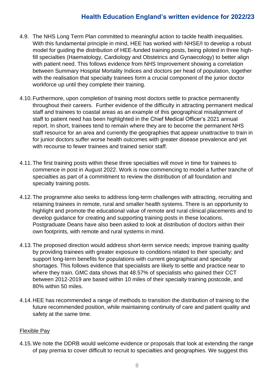- 4.9. The NHS Long Term Plan committed to meaningful action to tackle health inequalities. With this fundamental principle in mind, HEE has worked with NHSE/I to develop a robust model for guiding the distribution of HEE-funded training posts, being piloted in three highfill specialties (Haematology, Cardiology and Obstetrics and Gynaecology) to better align with patient need. This follows evidence from NHS Improvement showing a correlation between Summary Hospital Mortality Indices and doctors per head of population, together with the realisation that specialty trainees form a crucial component of the junior doctor workforce up until they complete their training.
- 4.10.Furthermore, upon completion of training most doctors settle to practice permanently throughout their careers. Further evidence of the difficulty in attracting permanent medical staff and trainees to coastal areas as an example of this geographical misalignment of staff to patient need has been highlighted in the Chief Medical Officer's 2021 annual report. In short, trainees tend to remain where they are to become the permanent NHS staff resource for an area and currently the geographies that appear unattractive to train in for junior doctors suffer worse health outcomes with greater disease prevalence and yet with recourse to fewer trainees and trained senior staff.
- 4.11.The first training posts within these three specialties will move in time for trainees to commence in post in August 2022. Work is now commencing to model a further tranche of specialties as part of a commitment to review the distribution of all foundation and specialty training posts.
- 4.12.The programme also seeks to address long-term challenges with attracting, recruiting and retaining trainees in remote, rural and smaller health systems. There is an opportunity to highlight and promote the educational value of remote and rural clinical placements and to develop guidance for creating and supporting training posts in these locations. Postgraduate Deans have also been asked to look at distribution of doctors within their own footprints, with remote and rural systems in mind.
- 4.13.The proposed direction would address short-term service needs; improve training quality by providing trainees with greater exposure to conditions related to their specialty; and support long-term benefits for populations with current geographical and specialty shortages. This follows evidence that specialists are likely to settle and practice near to where they train. GMC data shows that 48.57% of specialists who gained their CCT between 2012-2019 are based within 10 miles of their specialty training postcode, and 80% within 50 miles.
- 4.14.HEE has recommended a range of methods to transition the distribution of training to the future recommended position, while maintaining continuity of care and patient quality and safety at the same time.

#### Flexible Pay

4.15.We note the DDRB would welcome evidence or proposals that look at extending the range of pay premia to cover difficult to recruit to specialties and geographies. We suggest this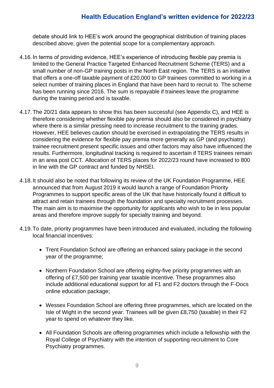debate should link to HEE's work around the geographical distribution of training places described above, given the potential scope for a complementary approach.

- 4.16.In terms of providing evidence, HEE's experience of introducing flexible pay premia is limited to the General Practice Targeted Enhanced Recruitment Scheme (TERS) and a small number of non-GP training posts in the North East region. The TERS is an initiative that offers a one-off taxable payment of £20,000 to GP trainees committed to working in a select number of training places in England that have been hard to recruit to. The scheme has been running since 2016. The sum is repayable if trainees leave the programme during the training period and is taxable.
- 4.17.The 20/21 data appears to show this has been successful (see Appendix C), and HEE is therefore considering whether flexible pay premia should also be considered in psychiatry where there is a similar pressing need to increase recruitment to the training grades. However, HEE believes caution should be exercised in extrapolating the TERS results in considering the evidence for flexible pay premia more generally as GP (and psychiatry) trainee recruitment present specific issues and other factors may also have influenced the results. Furthermore, longitudinal tracking is required to ascertain if TERS trainees remain in an area post CCT. Allocation of TERS places for 2022/23 round have increased to 800 in line with the GP contract and funded by NHSEI.
- 4.18.It should also be noted that following its review of the UK Foundation Programme, HEE announced that from August 2019 it would launch a range of Foundation Priority Programmes to support specific areas of the UK that have historically found it difficult to attract and retain trainees through the foundation and specialty recruitment processes. The main aim is to maximise the opportunity for applicants who wish to be in less popular areas and therefore improve supply for specialty training and beyond.
- 4.19.To date, priority programmes have been introduced and evaluated, including the following local financial incentives:
	- Trent Foundation School are offering an enhanced salary package in the second year of the programme;
	- Northern Foundation School are offering eighty-five priority programmes with an offering of £7,500 per training year taxable incentive. These programmes also include additional educational support for all F1 and F2 doctors through the F-Docs online education package;
	- Wessex Foundation School are offering three programmes, which are located on the Isle of Wight in the second year. Trainees will be given £8,750 (taxable) in their F2 year to spend on whatever they like.
	- All Foundation Schools are offering programmes which include a fellowship with the Royal College of Psychiatry with the intention of supporting recruitment to Core Psychiatry programmes.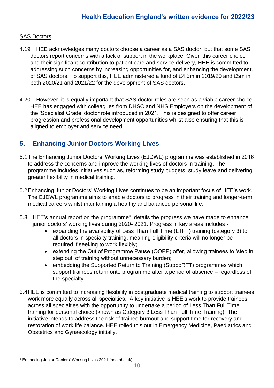### SAS Doctors

- 4.19 HEE acknowledges many doctors choose a career as a SAS doctor, but that some SAS doctors report concerns with a lack of support in the workplace. Given this career choice and their significant contribution to patient care and service delivery, HEE is committed to addressing such concerns by increasing opportunities for, and enhancing the development, of SAS doctors. To support this, HEE administered a fund of £4.5m in 2019/20 and £5m in both 2020/21 and 2021/22 for the development of SAS doctors.
- 4.20 However, it is equally important that SAS doctor roles are seen as a viable career choice. HEE has engaged with colleagues from DHSC and NHS Employers on the development of the 'Specialist Grade' doctor role introduced in 2021. This is designed to offer career progression and professional development opportunities whilst also ensuring that this is aligned to employer and service need.

### **5. Enhancing Junior Doctors Working Lives**

- 5.1The Enhancing Junior Doctors' Working Lives (EJDWL) programme was established in 2016 to address the concerns and improve the working lives of doctors in training. The programme includes initiatives such as, reforming study budgets, study leave and delivering greater flexibility in medical training.
- 5.2Enhancing Junior Doctors' Working Lives continues to be an important focus of HEE's work. The EJDWL programme aims to enable doctors to progress in their training and longer-term medical careers whilst maintaining a healthy and balanced personal life.
- 5.3 HEE's annual report on the programme<sup>4</sup> details the progress we have made to enhance junior doctors' working lives during 2020-2021. Progress in key areas includes -
	- expanding the availability of Less Than Full Time (LTFT) training (category 3) to all doctors in specialty training, meaning eligibility criteria will no longer be required if seeking to work flexibly;
	- extending the Out of Programme Pause (OOPP) offer, allowing trainees to 'step in step out' of training without unnecessary burden;
	- embedding the Supported Return to Training (SuppoRTT) programmes which support trainees return onto programme after a period of absence – regardless of the specialty.
- 5.4HEE is committed to increasing flexibility in postgraduate medical training to support trainees work more equally across all specialties. A key initiative is HEE's work to provide trainees across all specialties with the opportunity to undertake a period of Less Than Full Time training for personal choice (known as Category 3 Less Than Full Time Training). The initiative intends to address the risk of trainee burnout and support time for recovery and restoration of work life balance. HEE rolled this out in Emergency Medicine, Paediatrics and Obstetrics and Gynaecology initially.

<sup>4</sup> Enhancing Junior Doctors' Working Lives 2021 (hee.nhs.uk)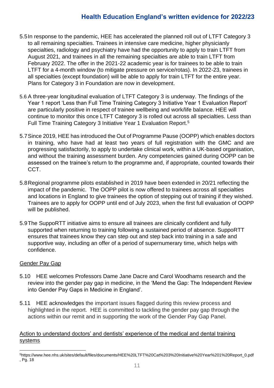- 5.5In response to the pandemic, HEE has accelerated the planned roll out of LTFT Category 3 to all remaining specialties. Trainees in intensive care medicine, higher physicianly specialties, radiology and psychiatry have had the opportunity to apply to train LTFT from August 2021, and trainees in all the remaining specialties are able to train LTFT from February 2022. The offer in the 2021-22 academic year is for trainees to be able to train LTFT for a 4-month window (to mitigate pressure on service/rotas). In 2022-23, trainees in all specialties (except foundation) will be able to apply for train LTFT for the entire year. Plans for Category 3 in Foundation are now in development.
- 5.6 A three-year longitudinal evaluation of LTFT Category 3 is underway. The findings of the Year 1 report 'Less than Full Time Training Category 3 Initiative Year 1 Evaluation Report' are particularly positive in respect of trainee wellbeing and work/life balance. HEE will continue to monitor this once LTFT Category 3 is rolled out across all specialties. Less than Full Time Training Category 3 Initiative Year 1 Evaluation Report.<sup>5</sup>
- 5.7Since 2019, HEE has introduced the Out of Programme Pause (OOPP) which enables doctors in training, who have had at least two years of full registration with the GMC and are progressing satisfactorily, to apply to undertake clinical work, within a UK-based organisation, and without the training assessment burden. Any competencies gained during OOPP can be assessed on the trainee's return to the programme and, if appropriate, counted towards their CCT.
- 5.8Regional programme pilots established in 2019 have been extended in 20/21 reflecting the impact of the pandemic. The OOPP pilot is now offered to trainees across all specialties and locations in England to give trainees the option of stepping out of training if they wished. Trainees are to apply for OOPP until end of July 2023, when the first full evaluation of OOPP will be published.
- 5.9The SuppoRTT initiative aims to ensure all trainees are clinically confident and fully supported when returning to training following a sustained period of absence. SuppoRTT ensures that trainees know they can step out and step back into training in a safe and supportive way, including an offer of a period of supernumerary time, which helps with confidence.

#### Gender Pay Gap

- 5.10 HEE welcomes Professors Dame Jane Dacre and Carol Woodhams research and the review into the gender pay gap in medicine, in the 'Mend the Gap: The Independent Review into Gender Pay Gaps in Medicine in England'.
- 5.11 HEE acknowledges the important issues flagged during this review process and highlighted in the report. HEE is committed to tackling the gender pay gap through the actions within our remit and in supporting the work of the Gender Pay Gap Panel.

### Action to understand doctors' and dentists' experience of the medical and dental training **systems**

<sup>5</sup>https://www.hee.nhs.uk/sites/default/files/documents/HEE%20LTFT%20Cat%203%20Initiative%20Year%201%20Report\_0.pdf , Pg. 18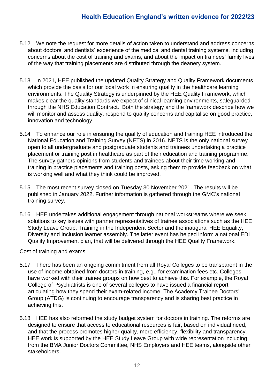- 5.12 We note the request for more details of action taken to understand and address concerns about doctors' and dentists' experience of the medical and dental training systems, including concerns about the cost of training and exams, and about the impact on trainees' family lives of the way that training placements are distributed through the deanery system.
- 5.13 In 2021, HEE published the updated Quality Strategy and Quality Framework documents which provide the basis for our local work in ensuring quality in the healthcare learning environments. The Quality Strategy is underpinned by the HEE Quality Framework, which makes clear the quality standards we expect of clinical learning environments, safeguarded through the NHS Education Contract. Both the strategy and the framework describe how we will monitor and assess quality, respond to quality concerns and capitalise on good practice, innovation and technology.
- 5.14 To enhance our role in ensuring the quality of education and training HEE introduced the National Education and Training Survey (NETS) in 2016. NETS is the only national survey open to all undergraduate and postgraduate students and trainees undertaking a practice placement or training post in healthcare as part of their education and training programme. The survey gathers opinions from students and trainees about their time working and training in practice placements and training posts, asking them to provide feedback on what is working well and what they think could be improved.
- 5.15 The most recent survey closed on Tuesday 30 November 2021. The results will be published in January 2022. Further information is gathered through the GMC's national training survey.
- 5.16 HEE undertakes additional engagement through national workstreams where we seek solutions to key issues with partner representatives of trainee associations such as the HEE Study Leave Group, Training in the Independent Sector and the inaugural HEE Equality, Diversity and Inclusion learner assembly. The latter event has helped inform a national EDI Quality Improvement plan, that will be delivered through the HEE Quality Framework.

#### Cost of training and exams

- 5.17 There has been an ongoing commitment from all Royal Colleges to be transparent in the use of income obtained from doctors in training, e.g., for examination fees etc. Colleges have worked with their trainee groups on how best to achieve this. For example, the Royal College of Psychiatrists is one of several colleges to have issued a financial report articulating how they spend their exam-related income. The Academy Trainee Doctors' Group (ATDG) is continuing to encourage transparency and is sharing best practice in achieving this.
- 5.18 HEE has also reformed the study budget system for doctors in training. The reforms are designed to ensure that access to educational resources is fair, based on individual need, and that the process promotes higher quality, more efficiency, flexibility and transparency. HEE work is supported by the HEE Study Leave Group with wide representation including from the BMA Junior Doctors Committee, NHS Employers and HEE teams, alongside other stakeholders.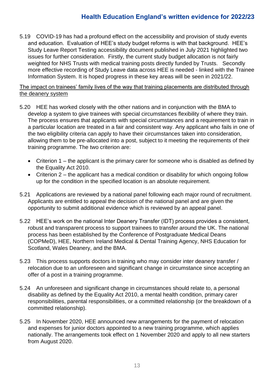5.19 COVID-19 has had a profound effect on the accessibility and provision of study events and education. Evaluation of HEE's study budget reforms is with that background. HEE's Study Leave Report Testing accessibility document published in July 2021 highlighted two issues for further consideration. Firstly, the current study budget allocation is not fairly weighted for NHS Trusts with medical training posts directly funded by Trusts. Secondly more effective recording of Study Leave data across HEE is needed - linked with the Trainee Information System. It is hoped progress in these key areas will be seen in 2021/22.

The impact on trainees' family lives of the way that training placements are distributed through the deanery system

- 5.20 HEE has worked closely with the other nations and in conjunction with the BMA to develop a system to give trainees with special circumstances flexibility of where they train. The process ensures that applicants with special circumstances and a requirement to train in a particular location are treated in a fair and consistent way. Any applicant who fails in one of the two eligibility criteria can apply to have their circumstances taken into consideration, allowing them to be pre-allocated into a post, subject to it meeting the requirements of their training programme. The two criterion are:
	- Criterion 1 the applicant is the primary carer for someone who is disabled as defined by the Equality Act 2010.
	- Criterion 2 the applicant has a medical condition or disability for which ongoing follow up for the condition in the specified location is an absolute requirement.
- 5.21 Applications are reviewed by a national panel following each major round of recruitment. Applicants are entitled to appeal the decision of the national panel and are given the opportunity to submit additional evidence which is reviewed by an appeal panel.
- 5.22 HEE's work on the national Inter Deanery Transfer (IDT) process provides a consistent, robust and transparent process to support trainees to transfer around the UK. The national process has been established by the Conference of Postgraduate Medical Deans (COPMeD), HEE, Northern Ireland Medical & Dental Training Agency, NHS Education for Scotland, Wales Deanery, and the BMA.
- 5.23 This process supports doctors in training who may consider inter deanery transfer / relocation due to an unforeseen and significant change in circumstance since accepting an offer of a post in a training programme.
- 5.24 An unforeseen and significant change in circumstances should relate to, a personal disability as defined by the Equality Act 2010, a mental health condition, primary carer responsibilities, parental responsibilities, or a committed relationship (or the breakdown of a committed relationship).
- 5.25 In November 2020, HEE announced new arrangements for the payment of relocation and expenses for junior doctors appointed to a new training programme, which applies nationally. The arrangements took effect on 1 November 2020 and apply to all new starters from August 2020.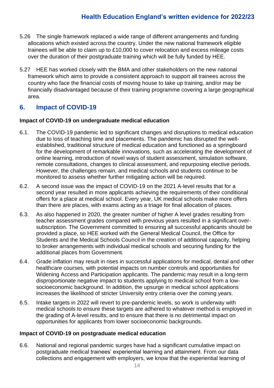- 5.26 The single framework replaced a wide range of different arrangements and funding allocations which existed across the country. Under the new national framework eligible trainees will be able to claim up to £10,000 to cover relocation and excess mileage costs over the duration of their postgraduate training which will be fully funded by HEE.
- 5.27 HEE has worked closely with the BMA and other stakeholders on the new national framework which aims to provide a consistent approach to support all trainees across the country who face the financial costs of moving house to take up training, and/or may be financially disadvantaged because of their training programme covering a large geographical area.

### **6. Impact of COVID-19**

#### **Impact of COVID-19 on undergraduate medical education**

- 6.1. The COVID-19 pandemic led to significant changes and disruptions to medical education due to loss of teaching time and placements. The pandemic has disrupted the wellestablished, traditional structure of medical education and functioned as a springboard for the development of remarkable innovations, such as accelerating the development of online learning, introduction of novel ways of student assessment, simulation software, remote consultations, changes to clinical assessment, and repurposing elective periods. However, the challenges remain, and medical schools and students continue to be monitored to assess whether further mitigating action will be required.
- 6.2. A second issue was the impact of COVID-19 on the 2021 A-level results that for a second year resulted in more applicants achieving the requirements of their conditional offers for a place at medical school. Every year, UK medical schools make more offers than there are places, with exams acting as a triage for final allocation of places.
- 6.3. As also happened in 2020, the greater number of higher A level grades resulting from teacher assessment grades compared with previous years resulted in a significant oversubscription. The Government committed to ensuring all successful applicants should be provided a place, so HEE worked with the General Medical Council, the Office for Students and the Medical Schools Council in the creation of additional capacity, helping to broker arrangements with individual medical schools and securing funding for the additional places from Government.
- 6.4. Grade inflation may result in rises in successful applications for medical, dental and other healthcare courses, with potential impacts on number controls and opportunities for Widening Access and Participation applicants. The pandemic may result in a long-term disproportionate negative impact to students applying to medical school from a lowsocioeconomic background. In addition, the upsurge in medical school applications increases the likelihood of stricter University entry criteria over the coming years.
- 6.5. Intake targets in 2022 will revert to pre-pandemic levels, so work is underway with medical schools to ensure these targets are adhered to whatever method is employed in the grading of A-level results, and to ensure that there is no detrimental impact on opportunities for applicants from lower socioeconomic backgrounds.

#### **Impact of COVID-19 on postgraduate medical education**

6.6. National and regional pandemic surges have had a significant cumulative impact on postgraduate medical trainees' experiential learning and attainment. From our data collections and engagement with employers, we know that the experiential learning of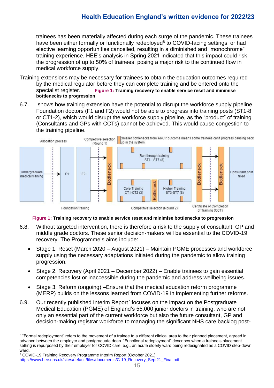trainees has been materially affected during each surge of the pandemic. These trainees have been either formally or functionally redeployed<sup>6</sup> to COVID-facing settings, or had elective learning opportunities cancelled, resulting in a diminished and "monochrome" training experience. HEE's analysis in Spring 2021 indicated that this impact could risk the progression of up to 50% of trainees, posing a major risk to the continued flow in medical workforce supply.

- Training extensions may be necessary for trainees to obtain the education outcomes required by the medical regulator before they can complete training and be entered onto the specialist register. **Figure 1: [Training recovery to enable service reset and minimise](#page-14-0)  [bottlenecks to progression](#page-14-0)**
- 6.7. shows how training extension have the potential to disrupt the workforce supply pipeline. Foundation doctors (F1 and F2) would not be able to progress into training posts (ST1-8 or CT1-2), which would disrupt the workforce supply pipeline, as the "product" of training (Consultants and GPs with CCTs) cannot be achieved. This would cause congestion to the training pipeline.



 **Figure 1: Training recovery to enable service reset and minimise bottlenecks to progression**

- <span id="page-14-0"></span>6.8. Without targeted intervention, there is therefore a risk to the supply of consultant, GP and middle grade doctors. These senior decision-makers will be essential to the COVID-19 recovery. The Programme's aims include:
	- Stage 1. Reset (March 2020 August 2021) Maintain PGME processes and workforce supply using the necessary adaptations initiated during the pandemic to allow training progression.
	- Stage 2. Recovery (April 2021 December 2022) Enable trainees to gain essential competencies lost or inaccessible during the pandemic and address wellbeing issues.
	- Stage 3. Reform (ongoing) –Ensure that the medical education reform programme (MERP) builds on the lessons learned from COVID-19 in implementing further reforms.
- 6.9. Our recently published Interim Report<sup>7</sup> focuses on the impact on the Postgraduate Medical Education (PGME) of England's 55,000 junior doctors in training, who are not only an essential part of the current workforce but also the future consultant, GP and decision-making registrar workforce to managing the significant NHS care backlog post-

 $^6$  "Formal redeployment" refers to the movement of a trainee to a different clinical area to their planned placement, agreed in advance between the employer and postgraduate dean. "Functional redeployment" describes when a trainee's placement setting is repurposed by their employer for COVID care, e.g., an acute elderly ward being redesignated as a COVID step-down ward.

<sup>7</sup> COVID-19 Training Recovery Programme Interim Report (October 2021). [https://www.hee.nhs.uk/sites/default/files/documents/C-19\\_Recovery\\_Sept21\\_Final.pdf](https://www.hee.nhs.uk/sites/default/files/documents/C-19_Recovery_Sept21_Final.pdf)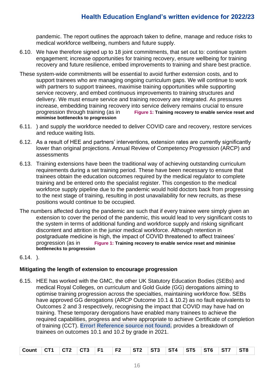pandemic. The report outlines the approach taken to define, manage and reduce risks to medical workforce wellbeing, numbers and future supply.

- 6.10. We have therefore signed up to 18 joint commitments, that set out to: continue system engagement; increase opportunities for training recovery, ensure wellbeing for training recovery and future resilience, embed improvements to training and share best practice.
- These system-wide commitments will be essential to avoid further extension costs, and to support trainees who are managing ongoing curriculum gaps. We will continue to work with partners to support trainees, maximise training opportunities while supporting service recovery, and embed continuous improvements to training structures and delivery. We must ensure service and training recovery are integrated. As pressures increase, embedding training recovery into service delivery remains crucial to ensure progression through training (as in **Figure 1: [Training recovery to enable service reset and](#page-14-0)  [minimise bottlenecks to progression](#page-14-0)**
- 6.11. ) and supply the workforce needed to deliver COVID care and recovery, restore services and reduce waiting lists.
- 6.12. As a result of HEE and partners' interventions, extension rates are currently significantly lower than original projections. Annual Review of Competency Progression (ARCP) and assessments
- 6.13. Training extensions have been the traditional way of achieving outstanding curriculum requirements during a set training period. These have been necessary to ensure that trainees obtain the education outcomes required by the medical regulator to complete training and be entered onto the specialist register. This congestion to the medical workforce supply pipeline due to the pandemic would hold doctors back from progressing to the next stage of training, resulting in post unavailability for new recruits, as these positions would continue to be occupied.
- The numbers affected during the pandemic are such that if every trainee were simply given an extension to cover the period of the pandemic, this would lead to very significant costs to the system in terms of additional funding and workforce supply and risking significant discontent and attrition in the junior medical workforce. Although retention in postgraduate medicine is high, the impact of COVID threatened to affect trainees' progression (as in **Figure 1: [Training recovery to enable service reset and minimise](#page-14-0)  [bottlenecks to progression](#page-14-0)**
- 6.14. ).

#### **Mitigating the length of extension to encourage progression**

6.15. HEE has worked with the GMC, the other UK Statutory Education Bodies (SEBs) and medical Royal Colleges, on curriculum and Gold Guide (GG) derogations aiming to optimise training progression across the specialties, maintaining workforce flow. SEBs have approved GG derogations (ARCP Outcome 10.1 & 10.2) as no fault equivalents to Outcomes 2 and 3 respectively, recognising the impact that COVID may have had on training. These temporary derogations have enabled many trainees to achieve the required capabilities, progress and where appropriate to achieve Certificate of completion of training (CCT). **Error! Reference source not found.** provides a breakdown of trainees on outcomes 10.1 and 10.2 by grade in 2021.

| Count CT1 CT2 CT3 F1 F2 ST2 ST3 ST4 ST5 ST6 ST7 ST8 |  |  |  |  |  |  |
|-----------------------------------------------------|--|--|--|--|--|--|
|                                                     |  |  |  |  |  |  |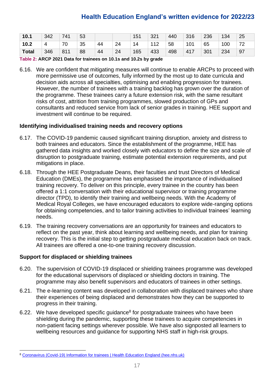| 10.1         | 342 | 741 | 53 |    |    | 151 | 321 | 440 | 316 | 236 | 134 | 25                 |
|--------------|-----|-----|----|----|----|-----|-----|-----|-----|-----|-----|--------------------|
| 10.2         | 4   | 70  | 35 | 44 | 24 | 14  | 112 | 58  | 101 | 65  | 100 | $7^{\circ}$<br>. . |
| <b>Total</b> | 346 | 811 | 88 | 44 | 24 | 165 | 433 | 498 | 417 | 301 | 234 | 97                 |

**Table 2: ARCP 2021 Data for trainees on 10.1s and 10.2s by grade**

6.16. We are confident that mitigating measures will continue to enable ARCPs to proceed with more permissive use of outcomes, fully informed by the most up to date curricula and decision aids across all specialties, optimising and enabling progression for trainees. However, the number of trainees with a training backlog has grown over the duration of the programme. These trainees carry a future extension risk, with the same resultant risks of cost, attrition from training programmes, slowed production of GPs and consultants and reduced service from lack of senior grades in training. HEE support and investment will continue to be required.

#### **Identifying individualised training needs and recovery options**

- 6.17. The COVID-19 pandemic caused significant training disruption, anxiety and distress to both trainees and educators. Since the establishment of the programme, HEE has gathered data insights and worked closely with educators to define the size and scale of disruption to postgraduate training, estimate potential extension requirements, and put mitigations in place.
- 6.18. Through the HEE Postgraduate Deans, their faculties and trust Directors of Medical Education (DMEs), the programme has emphasised the importance of individualised training recovery. To deliver on this principle, every trainee in the country has been offered a 1:1 conversation with their educational supervisor or training programme director (TPD), to identify their training and wellbeing needs. With the Academy of Medical Royal Colleges, we have encouraged educators to explore wide-ranging options for obtaining competencies, and to tailor training activities to individual trainees' learning needs.
- 6.19. The training recovery conversations are an opportunity for trainees and educators to reflect on the past year, think about learning and wellbeing needs, and plan for training recovery. This is the initial step to getting postgraduate medical education back on track. All trainees are offered a one-to-one training recovery discussion.

#### **Support for displaced or shielding trainees**

- 6.20. The supervision of COVID-19 displaced or shielding trainees programme was developed for the educational supervisors of displaced or shielding doctors in training. The programme may also benefit supervisors and educators of trainees in other settings.
- 6.21. The e-learning content was developed in collaboration with displaced trainees who share their experiences of being displaced and demonstrates how they can be supported to progress in their training.
- 6.22. We have developed specific guidance<sup>8</sup> for postgraduate trainees who have been shielding during the pandemic, supporting these trainees to acquire competencies in non-patient facing settings wherever possible. We have also signposted all learners to wellbeing resources and guidance for supporting NHS staff in high-risk groups.

<sup>8</sup> [Coronavirus \(Covid-19\) Information for trainees | Health Education England \(hee.nhs.uk\)](https://www.hee.nhs.uk/coronavirus-information-trainees)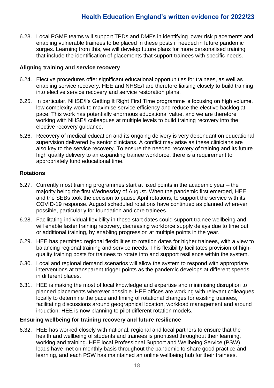6.23. Local PGME teams will support TPDs and DMEs in identifying lower risk placements and enabling vulnerable trainees to be placed in these posts if needed in future pandemic surges. Learning from this, we will develop future plans for more personalised training that include the identification of placements that support trainees with specific needs.

#### **Aligning training and service recovery**

- 6.24. Elective procedures offer significant educational opportunities for trainees, as well as enabling service recovery. HEE and NHSE/I are therefore liaising closely to build training into elective service recovery and service restoration plans.
- 6.25. In particular, NHSE/I's Getting It Right First Time programme is focusing on high volume, low complexity work to maximise service efficiency and reduce the elective backlog at pace. This work has potentially enormous educational value, and we are therefore working with NHSE/I colleagues at multiple levels to build training recovery into the elective recovery guidance.
- 6.26. Recovery of medical education and its ongoing delivery is very dependant on educational supervision delivered by senior clinicians. A conflict may arise as these clinicians are also key to the service recovery. To ensure the needed recovery of training and its future high quality delivery to an expanding trainee workforce, there is a requirement to appropriately fund educational time.

#### **Rotations**

- 6.27. Currently most training programmes start at fixed points in the academic year the majority being the first Wednesday of August. When the pandemic first emerged, HEE and the SEBs took the decision to pause April rotations, to support the service with its COVID-19 response. August scheduled rotations have continued as planned wherever possible, particularly for foundation and core trainees.
- 6.28. Facilitating individual flexibility in these start dates could support trainee wellbeing and will enable faster training recovery, decreasing workforce supply delays due to time out or additional training, by enabling progression at multiple points in the year.
- 6.29. HEE has permitted regional flexibilities to rotation dates for higher trainees, with a view to balancing regional training and service needs. This flexibility facilitates provision of highquality training posts for trainees to rotate into and support resilience within the system.
- 6.30. Local and regional demand scenarios will allow the system to respond with appropriate interventions at transparent trigger points as the pandemic develops at different speeds in different places.
- 6.31. HEE is making the most of local knowledge and expertise and minimising disruption to planned placements wherever possible. HEE offices are working with relevant colleagues locally to determine the pace and timing of rotational changes for existing trainees, facilitating discussions around geographical location, workload management and around induction. HEE is now planning to pilot different rotation models.

#### **Ensuring wellbeing for training recovery and future resilience**

6.32. HEE has worked closely with national, regional and local partners to ensure that the health and wellbeing of students and trainees is prioritised throughout their learning, working and training. HEE local Professional Support and Wellbeing Service (PSW) leads have met on monthly basis throughout the pandemic to share good practice and learning, and each PSW has maintained an online wellbeing hub for their trainees.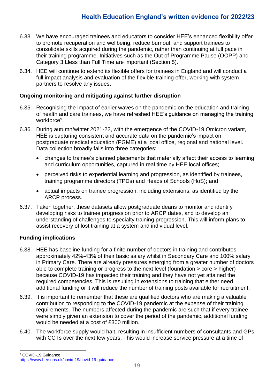- 6.33. We have encouraged trainees and educators to consider HEE's enhanced flexibility offer to promote recuperation and wellbeing, reduce burnout, and support trainees to consolidate skills acquired during the pandemic, rather than continuing at full pace in their training programme. Initiatives such as the Out of Programme Pause (OOPP) and Category 3 Lless than Full Time are important (Section 5).
- 6.34. HEE will continue to extend its flexible offers for trainees in England and will conduct a full impact analysis and evaluation of the flexible training offer, working with system partners to resolve any issues.

#### **Ongoing monitoring and mitigating against further disruption**

- 6.35. Recognising the impact of earlier waves on the pandemic on the education and training of health and care trainees, we have refreshed HEE's guidance on managing the training workforce<sup>9</sup>.
- 6.36. During autumn/winter 2021-22, with the emergence of the COVID-19 Omicron variant, HEE is capturing consistent and accurate data on the pandemic's impact on postgraduate medical education (PGME) at a local office, regional and national level. Data collection broadly falls into three categories:
	- changes to trainee's planned placements that materially affect their access to learning and curriculum opportunities, captured in real time by HEE local offices;
	- perceived risks to experiential learning and progression, as identified by trainees, training programme directors (TPDs) and Heads of Schools (HoS); and
	- actual impacts on trainee progression, including extensions, as identified by the ARCP process.
- 6.37. Taken together, these datasets allow postgraduate deans to monitor and identify developing risks to trainee progression prior to ARCP dates, and to develop an understanding of challenges to specialty training progression. This will inform plans to assist recovery of lost training at a system and individual level.

#### **Funding implications**

- 6.38. HEE has baseline funding for a finite number of doctors in training and contributes approximately 42%-43% of their basic salary whilst in Secondary Care and 100% salary in Primary Care. There are already pressures emerging from a greater number of doctors able to complete training or progress to the next level (foundation > core > higher) because COVID-19 has impacted their training and they have not yet attained the required competencies. This is resulting in extensions to training that either need additional funding or it will reduce the number of training posts available for recruitment.
- 6.39. It is important to remember that these are qualified doctors who are making a valuable contribution to responding to the COVID-19 pandemic at the expense of their training requirements. The numbers affected during the pandemic are such that if every trainee were simply given an extension to cover the period of the pandemic, additional funding would be needed at a cost of £300 million.
- 6.40. The workforce supply would halt, resulting in insufficient numbers of consultants and GPs with CCTs over the next few years. This would increase service pressure at a time of

<sup>&</sup>lt;sup>9</sup> COVID-19 Guidance. <https://www.hee.nhs.uk/covid-19/covid-19-guidance>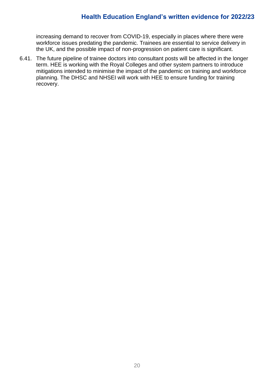increasing demand to recover from COVID-19, especially in places where there were workforce issues predating the pandemic. Trainees are essential to service delivery in the UK, and the possible impact of non-progression on patient care is significant.

6.41. The future pipeline of trainee doctors into consultant posts will be affected in the longer term. HEE is working with the Royal Colleges and other system partners to introduce mitigations intended to minimise the impact of the pandemic on training and workforce planning. The DHSC and NHSEI will work with HEE to ensure funding for training recovery.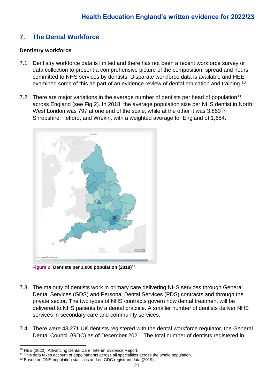### **7. The Dental Workforce**

#### **Dentistry workforce**

- 7.1. Dentistry workforce data is limited and there has not been a recent workforce survey or data collection to present a comprehensive picture of the composition, spread and hours committed to NHS services by dentists. Disparate workforce data is available and HEE examined some of this as part of an evidence review of dental education and training.<sup>10</sup>
- 7.2. There are major variations in the average number of dentists per head of population<sup>11</sup> across England (see Fig.2). In 2018, the average population size per NHS dentist in North West London was 797 at one end of the scale, while at the other it was 3,853 in Shropshire, Telford, and Wrekin, with a weighted average for England of 1,684.



 **Figure 2: Dentists per 1,000 population (2018)<sup>12</sup>**

- 7.3. The majority of dentists work in primary care delivering NHS services through General Dental Services (GDS) and Personal Dental Services (PDS) contracts and through the private sector. The two types of NHS contracts govern how dental treatment will be delivered to NHS patients by a dental practice. A smaller number of dentists deliver NHS services in secondary care and community services.
- 7.4. There were 43,271 UK dentists registered with the dental workforce regulator, the General Dental Council (GDC) as of December 2021. The total number of dentists registered in

<sup>10</sup> HEE (2020). Advancing Dental Care: Interim Evidence Report.

<sup>11</sup> This data takes account of appointments across all specialities across the whole population.

<sup>&</sup>lt;sup>12</sup> Based on ONS population statistics and on GDC registrant data (2019).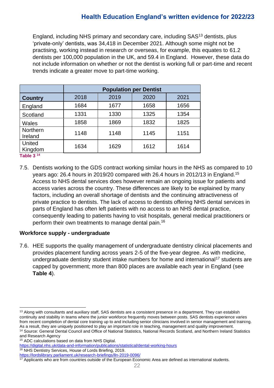England, including NHS primary and secondary care, including SAS<sup>13</sup> dentists, plus 'private-only' dentists, was 34,418 in December 2021. Although some might not be practising, working instead in research or overseas, for example, this equates to 61.2 dentists per 100,000 population in the UK, and 59.4 in England. However, these data do not include information on whether or not the dentist is working full or part-time and recent trends indicate a greater move to part-time working.

|                                    |      | <b>Population per Dentist</b> |      |      |  |  |  |  |  |  |
|------------------------------------|------|-------------------------------|------|------|--|--|--|--|--|--|
| <b>Country</b>                     | 2018 | 2019                          | 2020 | 2021 |  |  |  |  |  |  |
| England                            | 1684 | 1677                          | 1658 | 1656 |  |  |  |  |  |  |
| Scotland                           | 1331 | 1330                          | 1325 | 1354 |  |  |  |  |  |  |
| <b>Wales</b>                       | 1858 | 1869                          | 1832 | 1825 |  |  |  |  |  |  |
| Northern<br>Ireland                | 1148 | 1148                          | 1145 | 1151 |  |  |  |  |  |  |
| United<br>Kingdom<br>$7 - 11 - 21$ | 1634 | 1629                          | 1612 | 1614 |  |  |  |  |  |  |

**Table 3 14**

7.5. Dentists working to the GDS contract working similar hours in the NHS as compared to 10 years ago: 26.4 hours in 2019/20 compared with 26.4 hours in 2012/13 in England.<sup>15</sup> Access to NHS dental services does however remain an ongoing issue for patients and access varies across the country. These differences are likely to be explained by many factors, including an overall shortage of dentists and the continuing attractiveness of private practice to dentists. The lack of access to dentists offering NHS dental services in parts of England has often left patients with no access to an NHS dental practice, consequently leading to patients having to visit hospitals, general medical practitioners or perform their own treatments to manage dental pain.<sup>16</sup>

#### **Workforce supply - undergraduate**

7.6. HEE supports the quality management of undergraduate dentistry clinical placements and provides placement funding across years 2-5 of the five-year degree. As with medicine, undergraduate dentistry student intake numbers for home and international<sup>17</sup> students are capped by government; more than 800 places are available each year in England (see **Table 4**).

<sup>&</sup>lt;sup>13</sup> Along with consultants and auxiliary staff, SAS dentists are a consistent presence in a department. They can establish continuity and stability in teams where the junior workforce frequently moves between posts. SAS dentists experience varies from recent completion of dental core training up to and including senior clinicians involved in senior management and training. As a result, they are uniquely positioned to play an important role in teaching, management and quality improvement.

<sup>14</sup> Source: General Dental Council and Office of National Statistics, National Records Scotland, and Northern Ireland Statistics and Research Agency

<sup>15</sup> ADC calculations based on data from NHS Digital.

<https://digital.nhs.uk/data-and-information/publications/statistical/dental-working-hours>

<sup>16</sup> NHS Dentistry Services, House of Lords Briefing, 2019.

<https://lordslibrary.parliament.uk/research-briefings/lln-2019-0096/>

<sup>&</sup>lt;sup>17</sup> Applicants who are from countries outside of the European Economic Area are defined as international students.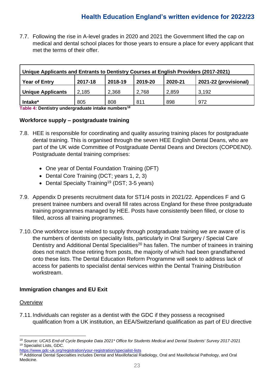7.7. Following the rise in A-level grades in 2020 and 2021 the Government lifted the cap on medical and dental school places for those years to ensure a place for every applicant that met the terms of their offer.

| Unique Applicants and Entrants to Dentistry Courses at English Providers (2017-2021)      |       |       |       |       |       |  |  |  |
|-------------------------------------------------------------------------------------------|-------|-------|-------|-------|-------|--|--|--|
| 2017-18<br>2018-19<br>2019-20<br>2021-22 (provisional)<br><b>Year of Entry</b><br>2020-21 |       |       |       |       |       |  |  |  |
| <b>Unique Applicants</b>                                                                  | 2,185 | 2,368 | 2,768 | 2,859 | 3.192 |  |  |  |
| Intake*                                                                                   | 805   | 808   | 811   | 898   | 972   |  |  |  |

**Table 4: Dentistry undergraduate intake numbers<sup>18</sup>**

#### **Workforce supply – postgraduate training**

- 7.8. HEE is responsible for coordinating and quality assuring training places for postgraduate dental training. This is organised through the seven HEE English Dental Deans, who are part of the UK wide Committee of Postgraduate Dental Deans and Directors (COPDEND). Postgraduate dental training comprises:
	- One year of Dental Foundation Training (DFT)
	- Dental Core Training (DCT; years 1, 2, 3)
	- Dental Specialty Training<sup>19</sup> (DST; 3-5 years)
- 7.9. Appendix D presents recruitment data for ST1/4 posts in 2021/22. Appendices F and G present trainee numbers and overall fill rates across England for these three postgraduate training programmes managed by HEE. Posts have consistently been filled, or close to filled, across all training programmes.
- 7.10.One workforce issue related to supply through postgraduate training we are aware of is the numbers of dentists on speciality lists, particularly in Oral Surgery / Special Care Dentistry and Additional Dental Specialities<sup>20</sup> has fallen. The number of trainees in training does not match those retiring from posts, the majority of which had been grandfathered onto these lists. The Dental Education Reform Programme will seek to address lack of access for patients to specialist dental services within the Dental Training Distribution workstream.

#### **Immigration changes and EU Exit**

#### **Overview**

7.11.Individuals can register as a dentist with the GDC if they possess a recognised qualification from a UK institution, an EEA/Switzerland qualification as part of EU directive

<sup>18</sup> *Source: UCAS End-of Cycle Bespoke Data 2021\* Office for Students Medical and Dental Students' Survey 2017-2021* <sup>19</sup> Specialist Lists, GDC.

<https://www.gdc-uk.org/registration/your-registration/specialist-lists>

<sup>&</sup>lt;sup>20</sup> Additional Dental Specialties includes Dental and Maxillofacial Radiology, Oral and Maxillofacial Pathology, and Oral Medicine.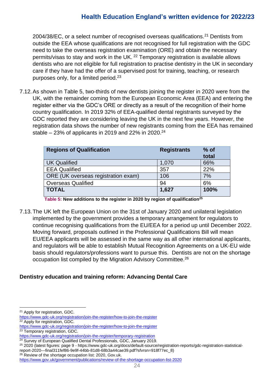2004/38/EC, or a select number of recognised overseas qualifications.<sup>21</sup> Dentists from outside the EEA whose qualifications are not recognised for full registration with the GDC need to take the overseas registration examination (ORE) and obtain the necessary permits/visas to stay and work in the UK.<sup>22</sup> Temporary registration is available allows dentists who are not eligible for full registration to practise dentistry in the UK in secondary care if they have had the offer of a supervised post for training, teaching, or research purposes only, for a limited period.<sup>23</sup>

7.12.As shown in Table 5, two-thirds of new dentists joining the register in 2020 were from the UK, with the remainder coming from the European Economic Area (EEA) and entering the register either via the GDC's ORE or directly as a result of the recognition of their home country qualification. In 2019 32% of EEA-qualified dental registrants surveyed by the GDC reported they are considering leaving the UK in the next few years. However, the registration data shows the number of new registrants coming from the EEA has remained stable – 23% of applicants in 2019 and 22% in 2020. 24

| <b>Regions of Qualification</b>     | <b>Registrants</b> | $%$ of<br>total |
|-------------------------------------|--------------------|-----------------|
| <b>UK Qualified</b>                 | 1,070              | 66%             |
| <b>EEA Qualified</b>                | 357                | 22%             |
| ORE (UK overseas registration exam) | 106                | 7%              |
| <b>Overseas Qualified</b>           | 94                 | 6%              |
| <b>TOTAL</b>                        | 1,627              | 100%            |

**Table 5: New additions to the register in 2020 by region of qualification<sup>25</sup>**

7.13.The UK left the European Union on the 31st of January 2020 and unilateral legislation implemented by the government provides a temporary arrangement for regulators to continue recognising qualifications from the EU/EEA for a period up until December 2022. Moving forward, proposals outlined in the Professional Qualifications Bill will mean EU/EEA applicants will be assessed in the same way as all other international applicants, and regulators will be able to establish Mutual Recognition Agreements on a UK-EU wide basis should regulators/professions want to pursue this. Dentists are not on the shortage occupation list compiled by the Migration Advisory Committee.<sup>26</sup>

#### **Dentistry education and training reform: Advancing Dental Care**

<sup>21</sup> Apply for registration, GDC.

<https://www.gdc-uk.org/registration/join-the-register/how-to-join-the-register> <sup>22</sup> Apply for registration, GDC.

<https://www.gdc-uk.org/registration/join-the-register/how-to-join-the-register> <sup>23</sup> Temporary registration, GDC.

<https://www.gdc-uk.org/registration/join-the-register/temporary-registration>

<sup>&</sup>lt;sup>24</sup> Survey of European Qualified Dental Professionals, GDC, January 2019.

<sup>25</sup> 2020 (latest figures: page 9 - https://www.gdc-uk.org/docs/default-source/registration-reports/gdc-registration-statistical-

report-2020---final311fef86-9e9f-44bb-81d8-68b3a44cae39.pdf?sfvrsn=918f77ec\_8)

<sup>&</sup>lt;sup>26</sup> Review of the shortage occupation list: 2020, Gov.uk.

<https://www.gov.uk/government/publications/review-of-the-shortage-occupation-list-2020>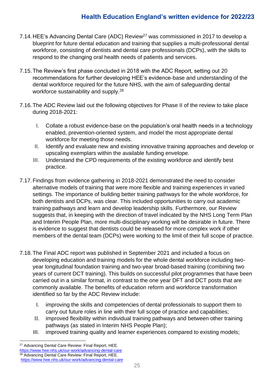- 7.14. HEE's Advancing Dental Care (ADC) Review<sup>27</sup> was commissioned in 2017 to develop a blueprint for future dental education and training that supplies a multi-professional dental workforce, consisting of dentists and dental care professionals (DCPs), with the skills to respond to the changing oral health needs of patients and services.
- 7.15.The Review's first phase concluded in 2018 with the ADC Report, setting out 20 recommendations for further developing HEE's evidence-base and understanding of the dental workforce required for the future NHS, with the aim of safeguarding dental workforce sustainability and supply.<sup>28</sup>
- 7.16.The ADC Review laid out the following objectives for Phase II of the review to take place during 2018-2021:
	- I. Collate a robust evidence-base on the population's oral health needs in a technology enabled, prevention-oriented system, and model the most appropriate dental workforce for meeting those needs.
	- II. Identify and evaluate new and existing innovative training approaches and develop or upscaling exemplars within the available funding envelope.
	- III. Understand the CPD requirements of the existing workforce and identify best practice.
- 7.17.Findings from evidence gathering in 2018-2021 demonstrated the need to consider alternative models of training that were more flexible and training experiences in varied settings. The importance of building better training pathways for the whole workforce, for both dentists and DCPs, was clear. This included opportunities to carry out academic training pathways and learn and develop leadership skills. Furthermore, our Review suggests that, in keeping with the direction of travel indicated by the NHS Long Term Plan and Interim People Plan, more multi-disciplinary working will be desirable in future. There is evidence to suggest that dentists could be released for more complex work if other members of the dental team (DCPs) were working to the limit of their full scope of practice.
- 7.18.The Final ADC report was published in September 2021 and included a focus on developing education and training models for the whole dental workforce including twoyear longitudinal foundation training and two-year broad-based training (combining two years of current DCT training). This builds on successful pilot programmes that have been carried out in a similar format, in contrast to the one year DFT and DCT posts that are commonly available. The benefits of education reform and workforce transformation identified so far by the ADC Review include:
	- I. improving the skills and competencies of dental professionals to support them to carry out future roles in line with their full scope of practice and capabilities;
	- II. improved flexibility within individual training pathways and between other training pathways (as stated in Interim NHS People Plan);
	- III. improved training quality and learner experiences compared to existing models;

<sup>27</sup> Advancing Dental Care Review: Final Report, HEE. <https://www.hee.nhs.uk/our-work/advancing-dental-care> <sup>28</sup> Advancing Dental Care Review: Final Report, HEE. <https://www.hee.nhs.uk/our-work/advancing-dental-care>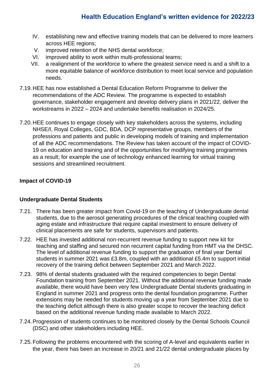- IV. establishing new and effective training models that can be delivered to more learners across HEE regions;
- V. improved retention of the NHS dental workforce;
- VI. improved ability to work within multi-professional teams;
- VII. a realignment of the workforce to where the greatest service need is and a shift to a more equitable balance of workforce distribution to meet local service and population needs.
- 7.19.HEE has now established a Dental Education Reform Programme to deliver the recommendations of the ADC Review. The programme is expected to establish governance, stakeholder engagement and develop delivery plans in 2021/22, deliver the workstreams in 2022 – 2024 and undertake benefits realisation in 2024/25.
- 7.20.HEE continues to engage closely with key stakeholders across the systems, including NHSE/I, Royal Colleges, GDC, BDA, DCP representative groups, members of the professions and patients and public in developing models of training and implementation of all the ADC recommendations. The Review has taken account of the impact of COVID-19 on education and training and of the opportunities for modifying training programmes as a result; for example the use of technology enhanced learning for virtual training sessions and streamlined recruitment.

### **Impact of COVID-19**

#### **Undergraduate Dental Students**

- 7.21. There has been greater impact from Covid-19 on the teaching of Undergraduate dental students, due to the aerosol generating procedures of the clinical teaching coupled with aging estate and infrastructure that require capital investment to ensure delivery of clinical placements are safe for students, supervisors and patients.
- 7.22. HEE has invested additional non-recurrent revenue funding to support new kit for teaching and staffing and secured non recurrent capital funding from HMT via the DHSC. The level of additional revenue funding to support the graduation of final year Dental students in summer 2021 was £3.8m, coupled with an additional £5.4m to support initial recovery of the training deficit between September 2021 and March 2022.
- 7.23. 98% of dental students graduated with the required competencies to begin Dental Foundation training from September 2021. Without the additional revenue funding made available, there would have been very few Undergraduate Dental students graduating in England in summer 2021 and progress onto the dental foundation programme. Further extensions may be needed for students moving up a year from September 2021 due to the teaching deficit although there is also greater scope to recover the teaching deficit based on the additional revenue funding made available to March 2022.
- 7.24.Progression of students continues to be monitored closely by the Dental Schools Council (DSC) and other stakeholders including HEE.
- 7.25.Following the problems encountered with the scoring of A-level and equivalents earlier in the year, there has been an increase in 20/21 and 21/22 dental undergraduate places by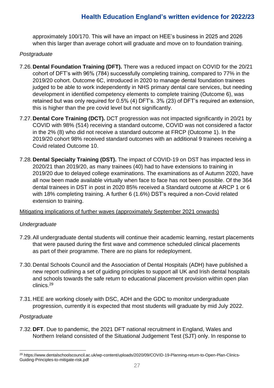approximately 100/170. This will have an impact on HEE's business in 2025 and 2026 when this larger than average cohort will graduate and move on to foundation training.

#### *Postgraduate*

- 7.26.**Dental Foundation Training (DFT).** There was a reduced impact on COVID for the 20/21 cohort of DFT's with 96% (784) successfully completing training, compared to 77% in the 2019/20 cohort. Outcome 6C, introduced in 2020 to manage dental foundation trainees judged to be able to work independently in NHS primary dental care services, but needing development in identified competency elements to complete training (Outcome 6), was retained but was only required for 0.5% (4) DFT's. 3% (23) of DFT's required an extension, this is higher than the pre covid level but not significantly.
- 7.27.**Dental Core Training (DCT).** DCT progression was not impacted significantly in 20/21 by COVID with 98% (514) receiving a standard outcome, COVID was not considered a factor in the 2% (8) who did not receive a standard outcome at FRCP (Outcome 1). In the 2019/20 cohort 98% received standard outcomes with an additional 9 trainees receiving a Covid related Outcome 10.
- 7.28.**Dental Specialty Training (DST).** The impact of COVID-19 on DST has impacted less in 2020/21 than 2019/20, as many trainees (40) had to have extensions to training in 2019/20 due to delayed college examinations. The examinations as of Autumn 2020, have all now been made available virtually when face to face has not been possible. Of the 364 dental trainees in DST in post in 2020 85% received a Standard outcome at ARCP 1 or 6 with 18% completing training. A further 6 (1.6%) DST's required a non-Covid related extension to training.

#### Mitigating implications of further waves (approximately September 2021 onwards)

#### *Undergraduate*

- 7.29.All undergraduate dental students will continue their academic learning, restart placements that were paused during the first wave and commence scheduled clinical placements as part of their programme. There are no plans for redeployment.
- 7.30.Dental Schools Council and the Association of Dental Hospitals (ADH) have published a new report outlining a set of guiding principles to support all UK and Irish dental hospitals and schools towards the safe return to educational placement provision within open plan clinics.<sup>29</sup>
- 7.31.HEE are working closely with DSC, ADH and the GDC to monitor undergraduate progression, currently it is expected that most students will graduate by mid July 2022.

#### *Postgraduate*

7.32.**DFT**. Due to pandemic, the 2021 DFT national recruitment in England, Wales and Northern Ireland consisted of the Situational Judgement Test (SJT) only. In response to

<sup>29</sup> https://www.dentalschoolscouncil.ac.uk/wp-content/uploads/2020/09/COVID-19-Planning-return-to-Open-Plan-Clinics-Guiding-Principles-to-mitigate-risk.pdf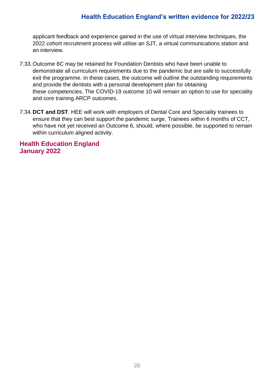applicant feedback and experience gained in the use of virtual interview techniques, the 2022 cohort recruitment process will utilise an SJT, a virtual communications station and an interview.

- 7.33.Outcome 6C may be retained for Foundation Dentists who have been unable to demonstrate all curriculum requirements due to the pandemic but are safe to successfully exit the programme. In these cases, the outcome will outline the outstanding requirements and provide the dentists with a personal development plan for obtaining these competencies. The COVID-19 outcome 10 will remain an option to use for speciality and core training ARCP outcomes.
- 7.34.**DCT and DST**. HEE will work with employers of Dental Core and Speciality trainees to ensure that they can best support the pandemic surge. Trainees within 6 months of CCT, who have not yet received an Outcome 6, should, where possible, be supported to remain within curriculum aligned activity.

### **Health Education England January 2022**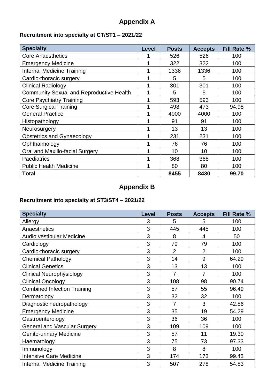# **Appendix A**

### **Recruitment into specialty at CT/ST1 – 2021/22**

| <b>Specialty</b>                                | Level | <b>Posts</b> | <b>Accepts</b> | <b>Fill Rate %</b> |
|-------------------------------------------------|-------|--------------|----------------|--------------------|
| <b>Core Anaesthetics</b>                        |       | 526          | 526            | 100                |
| <b>Emergency Medicine</b>                       | 1     | 322          | 322            | 100                |
| <b>Internal Medicine Training</b>               | 1     | 1336         | 1336           | 100                |
| Cardio-thoracic surgery                         | 1     | 5            | 5              | 100                |
| <b>Clinical Radiology</b>                       | 1     | 301          | 301            | 100                |
| <b>Community Sexual and Reproductive Health</b> | 1     | 5            | 5              | 100                |
| <b>Core Psychiatry Training</b>                 | 1     | 593          | 593            | 100                |
| <b>Core Surgical Training</b>                   |       | 498          | 473            | 94.98              |
| <b>General Practice</b>                         |       | 4000         | 4000           | 100                |
| Histopathology                                  | 1     | 91           | 91             | 100                |
| Neurosurgery                                    | 1     | 13           | 13             | 100                |
| <b>Obstetrics and Gynaecology</b>               | 1     | 231          | 231            | 100                |
| Ophthalmology                                   |       | 76           | 76             | 100                |
| Oral and Maxillo-facial Surgery                 | 1     | 10           | 10             | 100                |
| Paediatrics                                     | 1     | 368          | 368            | 100                |
| <b>Public Health Medicine</b>                   | 1     | 80           | 80             | 100                |
| <b>Total</b>                                    |       | 8455         | 8430           | 99.70              |

# **Appendix B**

### **Recruitment into specialty at ST3/ST4 – 2021/22**

| <b>Specialty</b>                   | <b>Level</b> | <b>Posts</b>   | <b>Accepts</b> | Fill Rate % |
|------------------------------------|--------------|----------------|----------------|-------------|
| Allergy                            | 3            | 5              | 5              | 100         |
| Anaesthetics                       | 3            | 445            | 445            | 100         |
| Audio vestibular Medicine          | 3            | 8              | 4              | 50          |
| Cardiology                         | 3            | 79             | 79             | 100         |
| Cardio-thoracic surgery            | 3            | $\overline{2}$ | $\overline{2}$ | 100         |
| <b>Chemical Pathology</b>          | 3            | 14             | 9              | 64.29       |
| <b>Clinical Genetics</b>           | 3            | 13             | 13             | 100         |
| <b>Clinical Neurophysiology</b>    | 3            | $\overline{7}$ | 7              | 100         |
| <b>Clinical Oncology</b>           | 3            | 108            | 98             | 90.74       |
| <b>Combined Infection Training</b> | 3            | 57             | 55             | 96.49       |
| Dermatology                        | 3            | 32             | 32             | 100         |
| Diagnostic neuropathology          | 3            | $\overline{7}$ | 3              | 42.86       |
| <b>Emergency Medicine</b>          | 3            | 35             | 19             | 54.29       |
| Gastroenterology                   | 3            | 36             | 36             | 100         |
| General and Vascular Surgery       | 3            | 109            | 109            | 100         |
| <b>Genito-urinary Medicine</b>     | 3            | 57             | 11             | 19.30       |
| Haematology                        | 3            | 75             | 73             | 97.33       |
| Immunology                         | 3            | 8              | 8              | 100         |
| <b>Intensive Care Medicine</b>     | 3            | 174            | 173            | 99.43       |
| <b>Internal Medicine Training</b>  | 3            | 507            | 278            | 54.83       |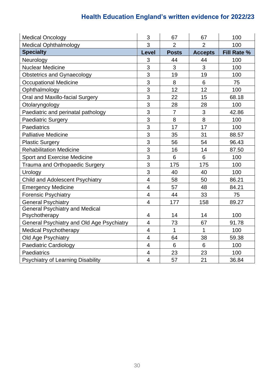| <b>Medical Oncology</b>                   | 3                        | 67             | 67             | 100                |
|-------------------------------------------|--------------------------|----------------|----------------|--------------------|
| <b>Medical Ophthalmology</b>              | 3                        | $\overline{2}$ | $\overline{2}$ | 100                |
| <b>Specialty</b>                          | <b>Level</b>             | <b>Posts</b>   | <b>Accepts</b> | <b>Fill Rate %</b> |
| Neurology                                 | 3                        | 44             | 44             | 100                |
| <b>Nuclear Medicine</b>                   | 3                        | 3              | 3              | 100                |
| <b>Obstetrics and Gynaecology</b>         | 3                        | 19             | 19             | 100                |
| <b>Occupational Medicine</b>              | 3                        | 8              | 6              | 75                 |
| Ophthalmology                             | 3                        | 12             | 12             | 100                |
| Oral and Maxillo-facial Surgery           | 3                        | 22             | 15             | 68.18              |
| Otolaryngology                            | 3                        | 28             | 28             | 100                |
| Paediatric and perinatal pathology        | 3                        | $\overline{7}$ | 3              | 42.86              |
| <b>Paediatric Surgery</b>                 | 3                        | 8              | 8              | 100                |
| Paediatrics                               | 3                        | 17             | 17             | 100                |
| <b>Palliative Medicine</b>                | 3                        | 35             | 31             | 88.57              |
| <b>Plastic Surgery</b>                    | 3                        | 56             | 54             | 96.43              |
| <b>Rehabilitation Medicine</b>            | 3                        | 16             | 14             | 87.50              |
| <b>Sport and Exercise Medicine</b>        | 3                        | 6              | 6              | 100                |
| Trauma and Orthopaedic Surgery            | 3                        | 175            | 175            | 100                |
| Urology                                   | 3                        | 40             | 40             | 100                |
| Child and Adolescent Psychiatry           | $\overline{4}$           | 58             | 50             | 86.21              |
| <b>Emergency Medicine</b>                 | $\overline{4}$           | 57             | 48             | 84.21              |
| <b>Forensic Psychiatry</b>                | $\overline{4}$           | 44             | 33             | 75                 |
| <b>General Psychiatry</b>                 | $\overline{4}$           | 177            | 158            | 89.27              |
| <b>General Psychiatry and Medical</b>     |                          |                |                |                    |
| Psychotherapy                             | $\overline{4}$           | 14             | 14             | 100                |
| General Psychiatry and Old Age Psychiatry | $\overline{\mathbf{4}}$  | 73             | 67             | 91.78              |
| <b>Medical Psychotherapy</b>              | $\overline{4}$           | 1              | 1              | 100                |
| Old Age Psychiatry                        | $\overline{\mathcal{A}}$ | 64             | 38             | 59.38              |
| <b>Paediatric Cardiology</b>              | $\overline{4}$           | $6\phantom{1}$ | 6              | 100                |
| Paediatrics                               | 4                        | 23             | 23             | 100                |
| <b>Psychiatry of Learning Disability</b>  | $\overline{4}$           | 57             | 21             | 36.84              |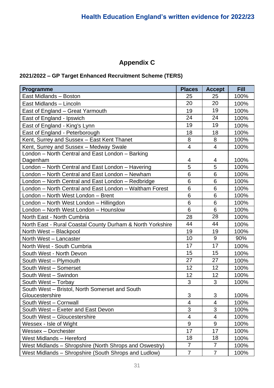# **Appendix C**

### **2021/2022 – GP Target Enhanced Recruitment Scheme (TERS)**

| Programme                                                  | <b>Places</b>            | <b>Accept</b>            | <b>Fill</b> |
|------------------------------------------------------------|--------------------------|--------------------------|-------------|
| East Midlands - Boston                                     | 25                       | 25                       | 100%        |
| East Midlands - Lincoln                                    | 20                       | 20                       | 100%        |
| East of England - Great Yarmouth                           | 19                       | 19                       | 100%        |
| East of England - Ipswich                                  | 24                       | 24                       | 100%        |
| East of England - King's Lynn                              | 19                       | 19                       | 100%        |
| East of England - Peterborough                             | 18                       | 18                       | 100%        |
| Kent, Surrey and Sussex - East Kent Thanet                 | 8                        | 8                        | 100%        |
| Kent, Surrey and Sussex - Medway Swale                     | $\overline{4}$           | $\overline{4}$           | 100%        |
| London – North Central and East London – Barking           |                          |                          |             |
| Dagenham                                                   | 4                        | 4                        | 100%        |
| London - North Central and East London - Havering          | 5                        | 5                        | 100%        |
| London - North Central and East London - Newham            | 6                        | 6                        | 100%        |
| London – North Central and East London – Redbridge         | 6                        | 6                        | 100%        |
| London - North Central and East London - Waltham Forest    | 6                        | 6                        | 100%        |
| London - North West London - Brent                         | 6                        | 6                        | 100%        |
| London - North West London - Hillingdon                    | 6                        | 6                        | 100%        |
| London - North West London - Hounslow                      | 6                        | 6                        | 100%        |
| North East - North Cumbria                                 | 28                       | 28                       | 100%        |
| North East - Rural Coastal County Durham & North Yorkshire | 44                       | 44                       | 100%        |
| North West - Blackpool                                     | 19                       | 19                       | 100%        |
| North West - Lancaster                                     | 10                       | 9                        | 90%         |
| North West - South Cumbria                                 | 17                       | 17                       | 100%        |
| South West - North Devon                                   | 15                       | 15                       | 100%        |
| South West - Plymouth                                      | 27                       | 27                       | 100%        |
| South West - Somerset                                      | 12                       | 12                       | 100%        |
| South West - Swindon                                       | 12                       | 12                       | 100%        |
| South West - Torbay                                        | 3                        | 3                        | 100%        |
| South West - Bristol, North Somerset and South             |                          |                          |             |
| Gloucestershire                                            | 3                        | 3                        | 100%        |
| South West - Cornwall                                      | $\overline{4}$           | 4                        | 100%        |
| South West - Exeter and East Devon                         | 3                        | 3                        | 100%        |
| South West - Gloucestershire                               | $\overline{\mathcal{A}}$ | $\overline{\mathcal{A}}$ | 100%        |
| Wessex - Isle of Wight                                     | 9                        | 9                        | 100%        |
| Wessex - Dorchester                                        | 17                       | 17                       | 100%        |
| West Midlands - Hereford                                   | 18                       | 18                       | 100%        |
| West Midlands – Shropshire (North Shrops and Oswestry)     | $\overline{7}$           | $\overline{7}$           | 100%        |
| West Midlands - Shropshire (South Shrops and Ludlow)       | $\overline{7}$           | 7                        | 100%        |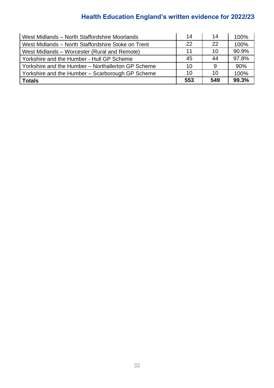| West Midlands - North Staffordshire Moorlands      | 14  | 14  | 100%  |
|----------------------------------------------------|-----|-----|-------|
| West Midlands - North Staffordshire Stoke on Trent | 22  | 22  | 100%  |
| West Midlands – Worcester (Rural and Remote)       | 11  | 10  | 90.9% |
| Yorkshire and the Humber - Hull GP Scheme          | 45  | 44  | 97.8% |
| Yorkshire and the Humber - Northallerton GP Scheme | 10  | 9   | 90%   |
| Yorkshire and the Humber - Scarborough GP Scheme   | 10  | 10  | 100%  |
| Totals                                             | 553 | 549 | 99.3% |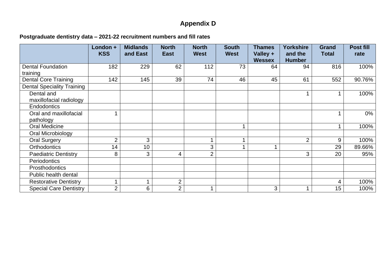# **Appendix D**

### **Postgraduate dentistry data – 2021-22 recruitment numbers and fill rates**

|                                       | London +<br><b>KSS</b> | <b>Midlands</b><br>and East | <b>North</b><br><b>East</b> | <b>North</b><br><b>West</b> | <b>South</b><br><b>West</b> | <b>Thames</b><br>Valley + | <b>Yorkshire</b><br>and the | <b>Grand</b><br><b>Total</b> | Post fill<br>rate |
|---------------------------------------|------------------------|-----------------------------|-----------------------------|-----------------------------|-----------------------------|---------------------------|-----------------------------|------------------------------|-------------------|
|                                       |                        |                             |                             |                             |                             | <b>Wessex</b>             | <b>Humber</b>               |                              |                   |
| <b>Dental Foundation</b><br>training  | 182                    | 229                         | 62                          | 112                         | 73                          | 64                        | 94                          | 816                          | 100%              |
| <b>Dental Core Training</b>           | 142                    | 145                         | 39                          | 74                          | 46                          | 45                        | 61                          | 552                          | 90.76%            |
| <b>Dental Speciality Training</b>     |                        |                             |                             |                             |                             |                           |                             |                              |                   |
| Dental and<br>maxillofacial radiology |                        |                             |                             |                             |                             |                           |                             |                              | 100%              |
| <b>Endodontics</b>                    |                        |                             |                             |                             |                             |                           |                             |                              |                   |
| Oral and maxillofacial<br>pathology   |                        |                             |                             |                             |                             |                           |                             |                              | $0\%$             |
| <b>Oral Medicine</b>                  |                        |                             |                             |                             |                             |                           |                             |                              | 100%              |
| Oral Microbiology                     |                        |                             |                             |                             |                             |                           |                             |                              |                   |
| <b>Oral Surgery</b>                   | $\overline{2}$         | 3                           |                             | $\overline{\mathbf{A}}$     |                             |                           | $\overline{2}$              | 9                            | 100%              |
| <b>Orthodontics</b>                   | 14                     | 10                          |                             | 3                           |                             |                           |                             | 29                           | 89.66%            |
| <b>Paediatric Dentistry</b>           | 8                      | 3                           | 4                           | $\overline{2}$              |                             |                           | 3                           | 20                           | 95%               |
| <b>Periodontics</b>                   |                        |                             |                             |                             |                             |                           |                             |                              |                   |
| Prosthodontics                        |                        |                             |                             |                             |                             |                           |                             |                              |                   |
| Public health dental                  |                        |                             |                             |                             |                             |                           |                             |                              |                   |
| <b>Restorative Dentistry</b>          | $\overline{A}$         |                             | $\overline{2}$              |                             |                             |                           |                             | 4                            | 100%              |
| <b>Special Care Dentistry</b>         | $\overline{2}$         | 6                           | 2                           | A                           |                             | 3                         |                             | 15                           | 100%              |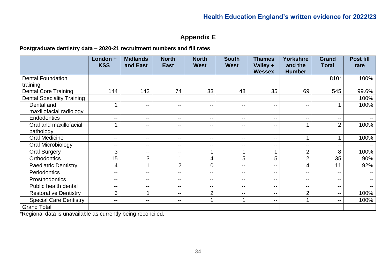### **Appendix E**

#### **Postgraduate dentistry data – 2020-21 recruitment numbers and fill rates**

|                                   | London +<br><b>KSS</b>   | <b>Midlands</b><br>and East | <b>North</b><br><b>East</b> | <b>North</b><br><b>West</b> | <b>South</b><br><b>West</b> | <b>Thames</b><br>Valley + | <b>Yorkshire</b><br>and the | <b>Grand</b><br><b>Total</b> | <b>Post fill</b><br>rate |
|-----------------------------------|--------------------------|-----------------------------|-----------------------------|-----------------------------|-----------------------------|---------------------------|-----------------------------|------------------------------|--------------------------|
|                                   |                          |                             |                             |                             |                             | <b>Wessex</b>             | <b>Humber</b>               |                              |                          |
| <b>Dental Foundation</b>          |                          |                             |                             |                             |                             |                           |                             | 810*                         | 100%                     |
| training                          |                          |                             |                             |                             |                             |                           |                             |                              |                          |
| <b>Dental Core Training</b>       | 144                      | 142                         | 74                          | 33                          | 48                          | 35                        | 69                          | 545                          | 99.6%                    |
| <b>Dental Speciality Training</b> |                          |                             |                             |                             |                             |                           |                             |                              | 100%                     |
| Dental and                        |                          | --                          | $\qquad \qquad -$           | $\overline{\phantom{m}}$    | $\qquad \qquad -$           | $- -$                     | $\overline{\phantom{a}}$    |                              | 100%                     |
| maxillofacial radiology           |                          |                             |                             |                             |                             |                           |                             |                              |                          |
| Endodontics                       | --                       | --                          | $\overline{\phantom{a}}$    | $\overline{\phantom{a}}$    | $\overline{\phantom{a}}$    | $\sim$ $\sim$             | $- -$                       | --                           |                          |
| Oral and maxillofacial            |                          | --                          | $\qquad \qquad -$           | $\overline{\phantom{m}}$    | $\overline{\phantom{a}}$    | $\sim$ $\sim$             | 1                           | 2                            | 100%                     |
| pathology                         |                          |                             |                             |                             |                             |                           |                             |                              |                          |
| <b>Oral Medicine</b>              | --                       | --                          | $\overline{\phantom{a}}$    | $- -$                       | $-$                         | $\sim$ $\sim$             |                             |                              | 100%                     |
| Oral Microbiology                 | --                       | --                          | $\qquad \qquad -$           | $\overline{\phantom{a}}$    | $\overline{\phantom{a}}$    | $- -$                     | $\overline{\phantom{a}}$    | --                           | $- -$                    |
| <b>Oral Surgery</b>               | 3                        | --                          | $\overline{\phantom{m}}$    | $\overline{\mathbf{A}}$     |                             |                           | $\overline{2}$              | 8                            | 100%                     |
| <b>Orthodontics</b>               | 15                       | 3                           |                             | 4                           | 5                           | 5                         | $\overline{2}$              | 35                           | 90%                      |
| <b>Paediatric Dentistry</b>       | 4                        |                             | $\overline{2}$              | $\mathbf 0$                 | $-$                         | $- -$                     | 4                           | 11                           | 92%                      |
| Periodontics                      | $\overline{\phantom{a}}$ | $\overline{\phantom{a}}$    | $\overline{\phantom{m}}$    | $\overline{\phantom{a}}$    | $\overline{\phantom{m}}$    | $- -$                     | $- -$                       | --                           | $\qquad \qquad -$        |
| Prosthodontics                    | --                       | --                          | $\qquad \qquad -$           | $- -$                       | $\qquad \qquad -$           | $- -$                     | $\overline{\phantom{m}}$    | --                           | $-$                      |
| Public health dental              | $- -$                    | $- -$                       | $- -$                       | $- -$                       | $\overline{\phantom{m}}$    | $\overline{\phantom{m}}$  | $\qquad \qquad -$           | --                           | $- -$                    |
| <b>Restorative Dentistry</b>      | 3                        |                             | $\overline{\phantom{m}}$    | $\overline{2}$              | $\overline{\phantom{m}}$    | $\sim$ $\sim$             | $\overline{2}$              | --                           | 100%                     |
| <b>Special Care Dentistry</b>     | --                       | --                          | $\overline{\phantom{a}}$    |                             |                             | $\sim$ $\sim$             |                             | --                           | 100%                     |
| <b>Grand Total</b>                |                          |                             |                             |                             |                             |                           |                             |                              |                          |

\*Regional data is unavailable as currently being reconciled.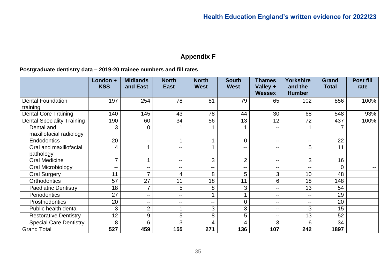# **Appendix F**

#### **Postgraduate dentistry data – 2019-20 trainee numbers and fill rates**

|                                   | London +<br><b>KSS</b> | <b>Midlands</b><br>and East | <b>North</b><br><b>East</b> | <b>North</b><br><b>West</b> | <b>South</b><br><b>West</b> | <b>Thames</b><br>Valley + | <b>Yorkshire</b><br>and the | <b>Grand</b><br><b>Total</b> | <b>Post fill</b><br>rate |
|-----------------------------------|------------------------|-----------------------------|-----------------------------|-----------------------------|-----------------------------|---------------------------|-----------------------------|------------------------------|--------------------------|
|                                   |                        |                             |                             |                             |                             | <b>Wessex</b>             | <b>Humber</b>               |                              |                          |
| <b>Dental Foundation</b>          | 197                    | 254                         | 78                          | 81                          | 79                          | 65                        | 102                         | 856                          | 100%                     |
| training                          |                        |                             |                             |                             |                             |                           |                             |                              |                          |
| <b>Dental Core Training</b>       | 140                    | 145                         | 43                          | 78                          | 44                          | 30                        | 68                          | 548                          | 93%                      |
| <b>Dental Speciality Training</b> | 190                    | 60                          | 34                          | 56                          | 13                          | 12                        | 72                          | 437                          | 100%                     |
| Dental and                        | 3                      | 0                           |                             |                             |                             | $- -$                     |                             |                              |                          |
| maxillofacial radiology           |                        |                             |                             |                             |                             |                           |                             |                              |                          |
| Endodontics                       | 20                     | $\overline{\phantom{m}}$    |                             | 1                           | 0                           | $\sim$ $\sim$             | $\overline{\phantom{m}}$    | 22                           |                          |
| Oral and maxillofacial            | 4                      |                             | --                          |                             | --                          | $- -$                     | 5                           | 11                           |                          |
| pathology                         |                        |                             |                             |                             |                             |                           |                             |                              |                          |
| <b>Oral Medicine</b>              | $\overline{7}$         |                             | $\mathbf{u}$                | 3                           | $\overline{2}$              | $\sim$ $\sim$             | 3                           | 16                           |                          |
| Oral Microbiology                 | --                     | $\sim$                      | $\sim$ $\sim$               | $\overline{\phantom{a}}$    | $\mathbf{u}$                | $-$                       | $\overline{\phantom{a}}$    |                              | $-$                      |
| <b>Oral Surgery</b>               | 11                     | ⇁                           | 4                           | 8                           | 5                           | 3                         | 10                          | 48                           |                          |
| <b>Orthodontics</b>               | 57                     | 27                          | 11                          | 18                          | 11                          | 6                         | 18                          | 148                          |                          |
| <b>Paediatric Dentistry</b>       | 18                     | 7                           | 5                           | 8                           | 3                           | $\sim$ $\sim$             | 13                          | 54                           |                          |
| Periodontics                      | 27                     | $\sim$                      | $\sim$ $\sim$               | 1                           |                             | $\sim$ $\sim$             | $-$                         | 29                           |                          |
| Prosthodontics                    | 20                     | $\sim$                      | $-$                         | $\mathbf{u}$                | 0                           | $\sim$ $\sim$             | $-$                         | 20                           |                          |
| Public health dental              | 3                      | $\overline{2}$              |                             | 3                           | 3                           | $\sim$ $\sim$             | 3                           | 15                           |                          |
| <b>Restorative Dentistry</b>      | 12                     | 9                           | 5                           | 8                           | 5                           | $\sim$ $\sim$             | 13                          | 52                           |                          |
| <b>Special Care Dentistry</b>     | 8                      | 6                           | 3                           | 4                           | 4                           | 3                         | 6                           | 34                           |                          |
| <b>Grand Total</b>                | 527                    | 459                         | 155                         | 271                         | 136                         | 107                       | 242                         | 1897                         |                          |